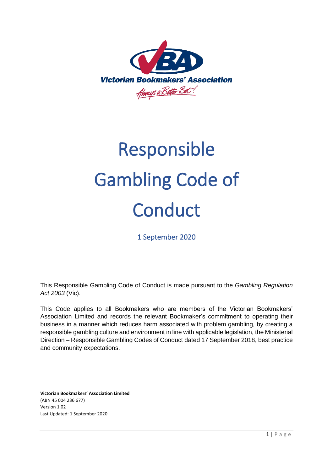

# Responsible Gambling Code of **Conduct**

1 September 2020

This Responsible Gambling Code of Conduct is made pursuant to the *Gambling Regulation Act 2003* (Vic).

This Code applies to all Bookmakers who are members of the Victorian Bookmakers' Association Limited and records the relevant Bookmaker's commitment to operating their business in a manner which reduces harm associated with problem gambling, by creating a responsible gambling culture and environment in line with applicable legislation, the Ministerial Direction – Responsible Gambling Codes of Conduct dated 17 September 2018, best practice and community expectations.

**Victorian Bookmakers' Association Limited** (ABN 45 004 236 677) Version 1.02 Last Updated: 1 September 2020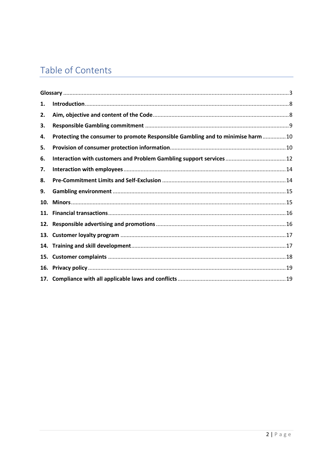# Table of Contents

| 1.  |                                                                                 |
|-----|---------------------------------------------------------------------------------|
| 2.  |                                                                                 |
| 3.  |                                                                                 |
| 4.  | Protecting the consumer to promote Responsible Gambling and to minimise harm 10 |
| 5.  |                                                                                 |
| 6.  | Interaction with customers and Problem Gambling support services  12            |
| 7.  |                                                                                 |
| 8.  |                                                                                 |
| 9.  |                                                                                 |
| 10. |                                                                                 |
| 11. |                                                                                 |
|     |                                                                                 |
|     |                                                                                 |
|     |                                                                                 |
| 15. |                                                                                 |
|     |                                                                                 |
|     |                                                                                 |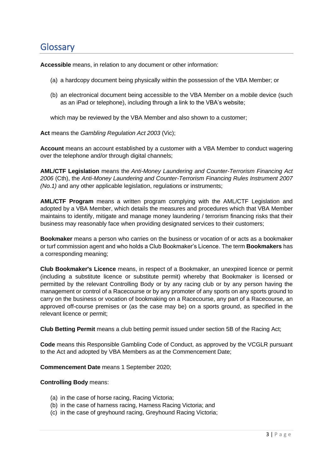## <span id="page-2-0"></span>**Glossary**

**Accessible** means, in relation to any document or other information:

- (a) a hardcopy document being physically within the possession of the VBA Member; or
- (b) an electronical document being accessible to the VBA Member on a mobile device (such as an iPad or telephone), including through a link to the VBA's website;

which may be reviewed by the VBA Member and also shown to a customer;

**Act** means the *Gambling Regulation Act 2003* (Vic);

**Account** means an account established by a customer with a VBA Member to conduct wagering over the telephone and/or through digital channels;

**AML/CTF Legislation** means the *Anti-Money Laundering and Counter-Terrorism Financing Act 2006* (Cth), the *Anti-Money Laundering and Counter-Terrorism Financing Rules Instrument 2007 (No.1)* and any other applicable legislation, regulations or instruments;

**AML/CTF Program** means a written program complying with the AML/CTF Legislation and adopted by a VBA Member, which details the measures and procedures which that VBA Member maintains to identify, mitigate and manage money laundering / terrorism financing risks that their business may reasonably face when providing designated services to their customers;

**Bookmaker** means a person who carries on the business or vocation of or acts as a bookmaker or turf commission agent and who holds a Club Bookmaker's Licence. The term **Bookmakers** has a corresponding meaning;

**Club Bookmaker's Licence** means, in respect of a Bookmaker, an unexpired licence or permit (including a substitute licence or substitute permit) whereby that Bookmaker is licensed or permitted by the relevant Controlling Body or by any racing club or by any person having the management or control of a Racecourse or by any promoter of any sports on any sports ground to carry on the business or vocation of bookmaking on a Racecourse, any part of a Racecourse, an approved off-course premises or (as the case may be) on a sports ground, as specified in the relevant licence or permit;

**Club Betting Permit** means a club betting permit issued under section 5B of the Racing Act;

**Code** means this Responsible Gambling Code of Conduct, as approved by the VCGLR pursuant to the Act and adopted by VBA Members as at the Commencement Date;

**Commencement Date** means 1 September 2020;

#### **Controlling Body** means:

- (a) in the case of horse racing, Racing Victoria;
- (b) in the case of harness racing, Harness Racing Victoria; and
- (c) in the case of greyhound racing, Greyhound Racing Victoria;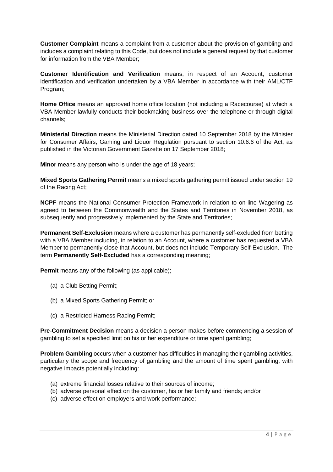**Customer Complaint** means a complaint from a customer about the provision of gambling and includes a complaint relating to this Code, but does not include a general request by that customer for information from the VBA Member;

**Customer Identification and Verification** means, in respect of an Account, customer identification and verification undertaken by a VBA Member in accordance with their AML/CTF Program;

**Home Office** means an approved home office location (not including a Racecourse) at which a VBA Member lawfully conducts their bookmaking business over the telephone or through digital channels;

**Ministerial Direction** means the Ministerial Direction dated 10 September 2018 by the Minister for Consumer Affairs, Gaming and Liquor Regulation pursuant to section 10.6.6 of the Act, as published in the Victorian Government Gazette on 17 September 2018;

**Minor** means any person who is under the age of 18 years;

**Mixed Sports Gathering Permit** means a mixed sports gathering permit issued under section 19 of the Racing Act;

**NCPF** means the National Consumer Protection Framework in relation to on-line Wagering as agreed to between the Commonwealth and the States and Territories in November 2018, as subsequently and progressively implemented by the State and Territories;

**Permanent Self-Exclusion** means where a customer has permanently self-excluded from betting with a VBA Member including, in relation to an Account, where a customer has requested a VBA Member to permanently close that Account, but does not include Temporary Self-Exclusion. The term **Permanently Self-Excluded** has a corresponding meaning;

**Permit** means any of the following (as applicable);

- (a) a Club Betting Permit;
- (b) a Mixed Sports Gathering Permit; or
- (c) a Restricted Harness Racing Permit;

**Pre-Commitment Decision** means a decision a person makes before commencing a session of gambling to set a specified limit on his or her expenditure or time spent gambling;

**Problem Gambling** occurs when a customer has difficulties in managing their gambling activities, particularly the scope and frequency of gambling and the amount of time spent gambling, with negative impacts potentially including:

- (a) extreme financial losses relative to their sources of income;
- (b) adverse personal effect on the customer, his or her family and friends; and/or
- (c) adverse effect on employers and work performance;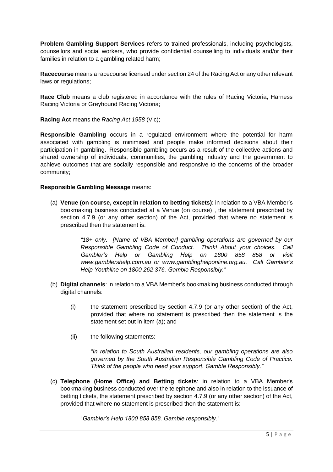**Problem Gambling Support Services** refers to trained professionals, including psychologists, counsellors and social workers, who provide confidential counselling to individuals and/or their families in relation to a gambling related harm;

**Racecourse** means a racecourse licensed under section 24 of the Racing Act or any other relevant laws or regulations;

**Race Club** means a club registered in accordance with the rules of Racing Victoria, Harness Racing Victoria or Greyhound Racing Victoria;

**Racing Act** means the *Racing Act 1958* (Vic);

**Responsible Gambling** occurs in a regulated environment where the potential for harm associated with gambling is minimised and people make informed decisions about their participation in gambling. Responsible gambling occurs as a result of the collective actions and shared ownership of individuals, communities, the gambling industry and the government to achieve outcomes that are socially responsible and responsive to the concerns of the broader community;

#### **Responsible Gambling Message** means:

(a) **Venue (on course, except in relation to betting tickets)**: in relation to a VBA Member's bookmaking business conducted at a Venue (on course) , the statement prescribed by section 4.7.9 (or any other section) of the Act, provided that where no statement is prescribed then the statement is:

> *"18+ only. [Name of VBA Member] gambling operations are governed by our Responsible Gambling Code of Conduct. Think! About your choices. Call Gambler's Help or Gambling Help on 1800 858 858 or visit [www.gamblershelp.com.au](http://www.gamblershelp.com.au/) or www.gamblinghelponline.org.au. Call Gambler's Help Youthline on 1800 262 376. Gamble Responsibly."*

- (b) **Digital channels**: in relation to a VBA Member's bookmaking business conducted through digital channels:
	- (i) the statement prescribed by section 4.7.9 (or any other section) of the Act, provided that where no statement is prescribed then the statement is the statement set out in item (a); and
	- (ii) the following statements:

*"In relation to South Australian residents, our gambling operations are also governed by the South Australian Responsible Gambling Code of Practice. Think of the people who need your support. Gamble Responsibly."*

(c) **Telephone (Home Office) and Betting tickets**: in relation to a VBA Member's bookmaking business conducted over the telephone and also in relation to the issuance of betting tickets, the statement prescribed by section 4.7.9 (or any other section) of the Act, provided that where no statement is prescribed then the statement is:

"*Gambler's Help 1800 858 858. Gamble responsibly*."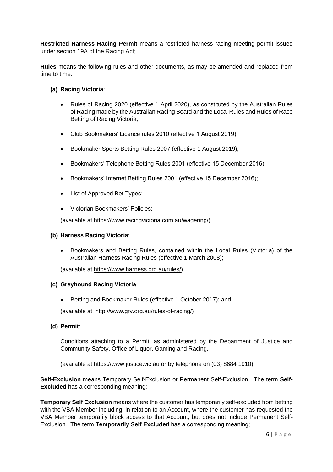**Restricted Harness Racing Permit** means a restricted harness racing meeting permit issued under section 19A of the Racing Act;

**Rules** means the following rules and other documents, as may be amended and replaced from time to time:

#### **(a) Racing Victoria**:

- Rules of Racing 2020 (effective 1 April 2020), as constituted by the Australian Rules of Racing made by the Australian Racing Board and the Local Rules and Rules of Race Betting of Racing Victoria;
- Club Bookmakers' Licence rules 2010 (effective 1 August 2019);
- Bookmaker Sports Betting Rules 2007 (effective 1 August 2019);
- Bookmakers' Telephone Betting Rules 2001 (effective 15 December 2016);
- Bookmakers' Internet Betting Rules 2001 (effective 15 December 2016);
- List of Approved Bet Types;
- Victorian Bookmakers' Policies;

(available at https://www.racingvictoria.com.au/wagering/)

#### **(b) Harness Racing Victoria**:

• Bookmakers and Betting Rules, contained within the Local Rules (Victoria) of the Australian Harness Racing Rules (effective 1 March 2008);

(available at https://www.harness.org.au/rules/)

#### **(c) Greyhound Racing Victoria**:

• Betting and Bookmaker Rules (effective 1 October 2017); and

(available at: http:/[/www.grv.org.au/rules-of-racing/\)](http://www.grv.org.au/rules-of-racing/)

**(d) Permit**:

Conditions attaching to a Permit, as administered by the Department of Justice and Community Safety, Office of Liquor, Gaming and Racing.

(available at [https://www.justice.vic.au](https://www.justice.vic.au/) or by telephone on (03) 8684 1910)

**Self-Exclusion** means Temporary Self-Exclusion or Permanent Self-Exclusion. The term **Self-Excluded** has a corresponding meaning;

**Temporary Self Exclusion** means where the customer has temporarily self-excluded from betting with the VBA Member including, in relation to an Account, where the customer has requested the VBA Member temporarily block access to that Account, but does not include Permanent Self-Exclusion. The term **Temporarily Self Excluded** has a corresponding meaning;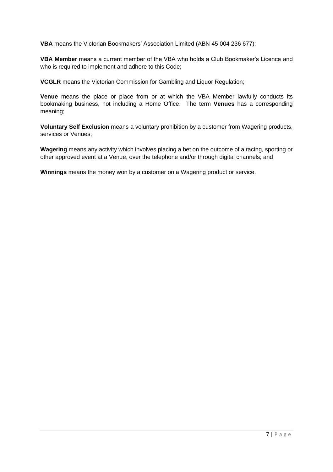**VBA** means the Victorian Bookmakers' Association Limited (ABN 45 004 236 677);

**VBA Member** means a current member of the VBA who holds a Club Bookmaker's Licence and who is required to implement and adhere to this Code;

**VCGLR** means the Victorian Commission for Gambling and Liquor Regulation;

**Venue** means the place or place from or at which the VBA Member lawfully conducts its bookmaking business, not including a Home Office. The term **Venues** has a corresponding meaning;

**Voluntary Self Exclusion** means a voluntary prohibition by a customer from Wagering products, services or Venues;

**Wagering** means any activity which involves placing a bet on the outcome of a racing, sporting or other approved event at a Venue, over the telephone and/or through digital channels; and

**Winnings** means the money won by a customer on a Wagering product or service.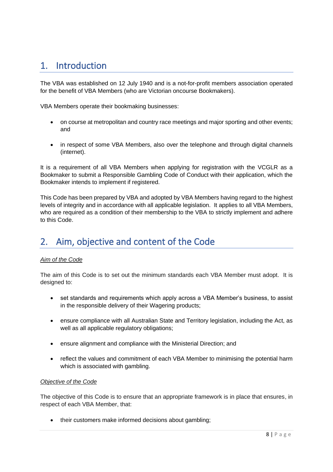## <span id="page-7-0"></span>1. Introduction

The VBA was established on 12 July 1940 and is a not-for-profit members association operated for the benefit of VBA Members (who are Victorian oncourse Bookmakers).

VBA Members operate their bookmaking businesses:

- on course at metropolitan and country race meetings and major sporting and other events; and
- in respect of some VBA Members, also over the telephone and through digital channels (internet).

It is a requirement of all VBA Members when applying for registration with the VCGLR as a Bookmaker to submit a Responsible Gambling Code of Conduct with their application, which the Bookmaker intends to implement if registered.

This Code has been prepared by VBA and adopted by VBA Members having regard to the highest levels of integrity and in accordance with all applicable legislation. It applies to all VBA Members, who are required as a condition of their membership to the VBA to strictly implement and adhere to this Code.

# <span id="page-7-1"></span>2. Aim, objective and content of the Code

#### *Aim of the Code*

The aim of this Code is to set out the minimum standards each VBA Member must adopt. It is designed to:

- set standards and requirements which apply across a VBA Member's business, to assist in the responsible delivery of their Wagering products;
- ensure compliance with all Australian State and Territory legislation, including the Act, as well as all applicable regulatory obligations;
- ensure alignment and compliance with the Ministerial Direction; and
- reflect the values and commitment of each VBA Member to minimising the potential harm which is associated with gambling.

#### *Objective of the Code*

The objective of this Code is to ensure that an appropriate framework is in place that ensures, in respect of each VBA Member, that:

• their customers make informed decisions about gambling;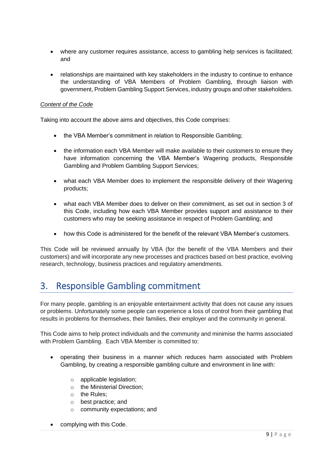- where any customer requires assistance, access to gambling help services is facilitated; and
- relationships are maintained with key stakeholders in the industry to continue to enhance the understanding of VBA Members of Problem Gambling, through liaison with government, Problem Gambling Support Services, industry groups and other stakeholders.

#### *Content of the Code*

Taking into account the above aims and objectives, this Code comprises:

- the VBA Member's commitment in relation to Responsible Gambling;
- the information each VBA Member will make available to their customers to ensure they have information concerning the VBA Member's Wagering products, Responsible Gambling and Problem Gambling Support Services;
- what each VBA Member does to implement the responsible delivery of their Wagering products;
- what each VBA Member does to deliver on their commitment, as set out in section 3 of this Code, including how each VBA Member provides support and assistance to their customers who may be seeking assistance in respect of Problem Gambling; and
- how this Code is administered for the benefit of the relevant VBA Member's customers.

This Code will be reviewed annually by VBA (for the benefit of the VBA Members and their customers) and will incorporate any new processes and practices based on best practice, evolving research, technology, business practices and regulatory amendments.

## <span id="page-8-0"></span>3. Responsible Gambling commitment

For many people, gambling is an enjoyable entertainment activity that does not cause any issues or problems. Unfortunately some people can experience a loss of control from their gambling that results in problems for themselves, their families, their employer and the community in general.

This Code aims to help protect individuals and the community and minimise the harms associated with Problem Gambling. Each VBA Member is committed to:

- operating their business in a manner which reduces harm associated with Problem Gambling, by creating a responsible gambling culture and environment in line with:
	- o applicable legislation;
	- o the Ministerial Direction;
	- o the Rules;
	- o best practice; and
	- o community expectations; and
- complying with this Code.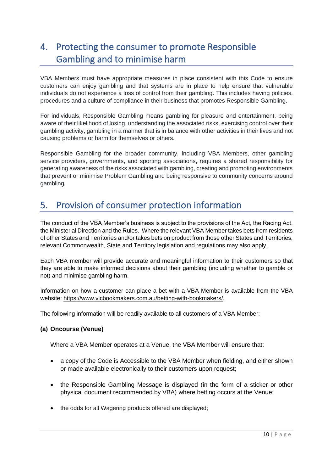# <span id="page-9-0"></span>4. Protecting the consumer to promote Responsible Gambling and to minimise harm

VBA Members must have appropriate measures in place consistent with this Code to ensure customers can enjoy gambling and that systems are in place to help ensure that vulnerable individuals do not experience a loss of control from their gambling. This includes having policies, procedures and a culture of compliance in their business that promotes Responsible Gambling.

For individuals, Responsible Gambling means gambling for pleasure and entertainment, being aware of their likelihood of losing, understanding the associated risks, exercising control over their gambling activity, gambling in a manner that is in balance with other activities in their lives and not causing problems or harm for themselves or others.

Responsible Gambling for the broader community, including VBA Members, other gambling service providers, governments, and sporting associations, requires a shared responsibility for generating awareness of the risks associated with gambling, creating and promoting environments that prevent or minimise Problem Gambling and being responsive to community concerns around gambling.

## <span id="page-9-1"></span>5. Provision of consumer protection information

The conduct of the VBA Member's business is subject to the provisions of the Act, the Racing Act, the Ministerial Direction and the Rules. Where the relevant VBA Member takes bets from residents of other States and Territories and/or takes bets on product from those other States and Territories, relevant Commonwealth, State and Territory legislation and regulations may also apply.

Each VBA member will provide accurate and meaningful information to their customers so that they are able to make informed decisions about their gambling (including whether to gamble or not) and minimise gambling harm.

Information on how a customer can place a bet with a VBA Member is available from the VBA website: https://www.vicbookmakers.com.au/betting-with-bookmakers/.

The following information will be readily available to all customers of a VBA Member:

#### **(a) Oncourse (Venue)**

Where a VBA Member operates at a Venue, the VBA Member will ensure that:

- a copy of the Code is Accessible to the VBA Member when fielding, and either shown or made available electronically to their customers upon request;
- the Responsible Gambling Message is displayed (in the form of a sticker or other physical document recommended by VBA) where betting occurs at the Venue;
- the odds for all Wagering products offered are displayed;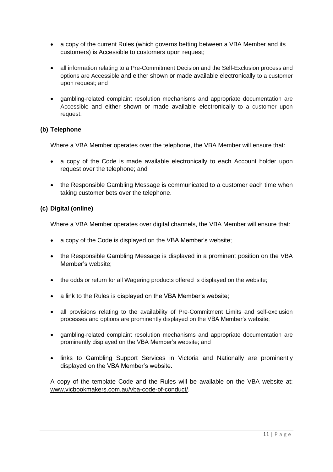- a copy of the current Rules (which governs betting between a VBA Member and its customers) is Accessible to customers upon request;
- all information relating to a Pre-Commitment Decision and the Self-Exclusion process and options are Accessible and either shown or made available electronically to a customer upon request; and
- gambling-related complaint resolution mechanisms and appropriate documentation are Accessible and either shown or made available electronically to a customer upon request.

#### **(b) Telephone**

Where a VBA Member operates over the telephone, the VBA Member will ensure that:

- a copy of the Code is made available electronically to each Account holder upon request over the telephone; and
- the Responsible Gambling Message is communicated to a customer each time when taking customer bets over the telephone.

#### **(c) Digital (online)**

Where a VBA Member operates over digital channels, the VBA Member will ensure that:

- a copy of the Code is displayed on the VBA Member's website;
- the Responsible Gambling Message is displayed in a prominent position on the VBA Member's website;
- the odds or return for all Wagering products offered is displayed on the website;
- a link to the Rules is displayed on the VBA Member's website;
- all provisions relating to the availability of Pre-Commitment Limits and self-exclusion processes and options are prominently displayed on the VBA Member's website;
- gambling-related complaint resolution mechanisms and appropriate documentation are prominently displayed on the VBA Member's website; and
- links to Gambling Support Services in Victoria and Nationally are prominently displayed on the VBA Member's website.

A copy of the template Code and the Rules will be available on the VBA website at: [www.vicbookmakers.com.au/vba-code-of-conduct/.](http://www.vicbookmakers.com.au/vba-code-of-conduct/)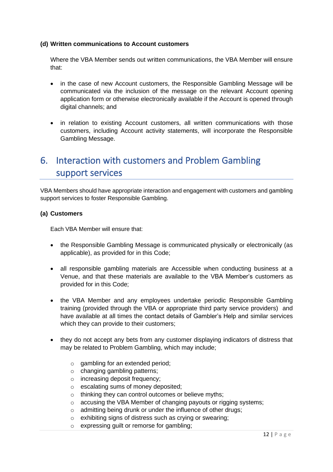#### **(d) Written communications to Account customers**

Where the VBA Member sends out written communications, the VBA Member will ensure that:

- in the case of new Account customers, the Responsible Gambling Message will be communicated via the inclusion of the message on the relevant Account opening application form or otherwise electronically available if the Account is opened through digital channels; and
- in relation to existing Account customers, all written communications with those customers, including Account activity statements, will incorporate the Responsible Gambling Message.

# <span id="page-11-0"></span>6. Interaction with customers and Problem Gambling support services

VBA Members should have appropriate interaction and engagement with customers and gambling support services to foster Responsible Gambling.

#### **(a) Customers**

Each VBA Member will ensure that:

- the Responsible Gambling Message is communicated physically or electronically (as applicable), as provided for in this Code;
- all responsible gambling materials are Accessible when conducting business at a Venue, and that these materials are available to the VBA Member's customers as provided for in this Code;
- the VBA Member and any employees undertake periodic Responsible Gambling training (provided through the VBA or appropriate third party service providers) and have available at all times the contact details of Gambler's Help and similar services which they can provide to their customers;
- they do not accept any bets from any customer displaying indicators of distress that may be related to Problem Gambling, which may include;
	- o gambling for an extended period;
	- o changing gambling patterns;
	- o increasing deposit frequency;
	- o escalating sums of money deposited;
	- o thinking they can control outcomes or believe myths;
	- o accusing the VBA Member of changing payouts or rigging systems;
	- o admitting being drunk or under the influence of other drugs;
	- o exhibiting signs of distress such as crying or swearing;
	- o expressing guilt or remorse for gambling;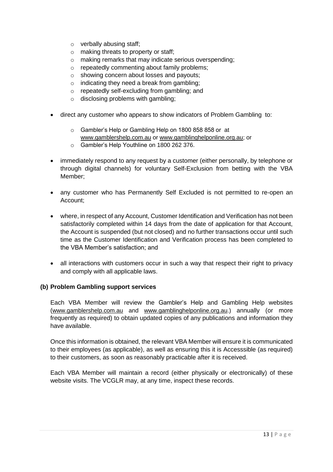- o verbally abusing staff;
- o making threats to property or staff;
- o making remarks that may indicate serious overspending;
- o repeatedly commenting about family problems;
- o showing concern about losses and payouts;
- o indicating they need a break from gambling;
- o repeatedly self-excluding from gambling; and
- o disclosing problems with gambling;
- direct any customer who appears to show indicators of Problem Gambling to:
	- o Gambler's Help or Gambling Help on 1800 858 858 or at [www.gamblershelp.com.au](http://www.gamblershelp.com.au/) or [www.gamblinghelponline.org.au;](http://www.gamblinghelponline.org.au/) or
	- o Gambler's Help Youthline on 1800 262 376.
- immediately respond to any request by a customer (either personally, by telephone or through digital channels) for voluntary Self-Exclusion from betting with the VBA Member;
- any customer who has Permanently Self Excluded is not permitted to re-open an Account;
- where, in respect of any Account, Customer Identification and Verification has not been satisfactorily completed within 14 days from the date of application for that Account, the Account is suspended (but not closed) and no further transactions occur until such time as the Customer Identification and Verification process has been completed to the VBA Member's satisfaction; and
- all interactions with customers occur in such a way that respect their right to privacy and comply with all applicable laws.

#### **(b) Problem Gambling support services**

Each VBA Member will review the Gambler's Help and Gambling Help websites ([www.gamblershelp.com.au](http://www.gamblershelp.com.au/) and [www.gamblinghelponline.org.au.](http://www.gamblinghelponline.org.au/)) annually (or more frequently as required) to obtain updated copies of any publications and information they have available.

Once this information is obtained, the relevant VBA Member will ensure it is communicated to their employees (as applicable), as well as ensuring this it is Accesssible (as required) to their customers, as soon as reasonably practicable after it is received.

Each VBA Member will maintain a record (either physically or electronically) of these website visits. The VCGLR may, at any time, inspect these records.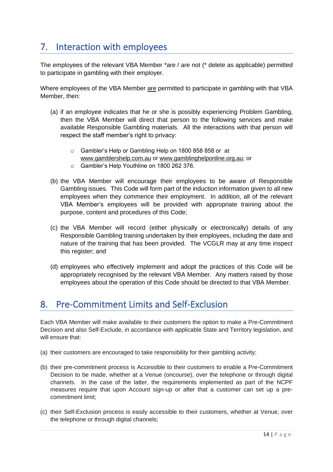# <span id="page-13-0"></span>7. Interaction with employees

The employees of the relevant VBA Member \*are / are not (\* delete as applicable) permitted to participate in gambling with their employer.

Where employees of the VBA Member are permitted to participate in gambling with that VBA Member, then:

- (a) if an employee indicates that he or she is possibly experiencing Problem Gambling, then the VBA Member will direct that person to the following services and make available Responsible Gambling materials. All the interactions with that person will respect the staff member's right to privacy:
	- o Gambler's Help or Gambling Help on 1800 858 858 or at [www.gamblershelp.com.au](http://www.gamblershelp.com.au/) or [www.gamblinghelponline.org.au;](http://www.gamblinghelponline.org.au/) or
	- o Gambler's Help Youthline on 1800 262 376.
- (b) the VBA Member will encourage their employees to be aware of Responsible Gambling issues. This Code will form part of the induction information given to all new employees when they commence their employment. In addition, all of the relevant VBA Member's employees will be provided with appropriate training about the purpose, content and procedures of this Code;
- (c) the VBA Member will record (either physically or electronically) details of any Responsible Gambling training undertaken by their employees, including the date and nature of the training that has been provided. The VCGLR may at any time inspect this register; and
- (d) employees who effectively implement and adopt the practices of this Code will be appropriately recognised by the relevant VBA Member. Any matters raised by those employees about the operation of this Code should be directed to that VBA Member.

# <span id="page-13-1"></span>8. Pre-Commitment Limits and Self-Exclusion

Each VBA Member will make available to their customers the option to make a Pre-Commitment Decision and also Self-Exclude, in accordance with applicable State and Territory legislation, and will ensure that:

- (a) their customers are encouraged to take responsibility for their gambling activity;
- (b) their pre-commitment process is Accessible to their customers to enable a Pre-Commitment Decision to be made, whether at a Venue (oncourse), over the telephone or through digital channels. In the case of the latter, the requirements implemented as part of the NCPF measures require that upon Account sign-up or after that a customer can set up a precommitment limit;
- (c) their Self-Exclusion process is easily accessible to their customers, whether at Venue, over the telephone or through digital channels;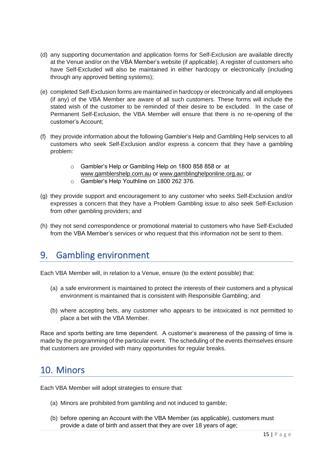- (d) any supporting documentation and application forms for Self-Exclusion are available directly at the Venue and/or on the VBA Member's website (if applicable). A register of customers who have Self-Excluded will also be maintained in either hardcopy or electronically (including through any approved betting systems);
- (e) completed Self-Exclusion forms are maintained in hardcopy or electronically and all employees (if any) of the VBA Member are aware of all such customers. These forms will include the stated wish of the customer to be reminded of their desire to be excluded. In the case of Permanent Self-Exclusion, the VBA Member will ensure that there is no re-opening of the customer's Account;
- (f) they provide information about the following Gambler's Help and Gambling Help services to all customers who seek Self-Exclusion and/or express a concern that they have a gambling problem:
	- o Gambler's Help or Gambling Help on 1800 858 858 or at [www.gamblershelp.com.au](http://www.gamblershelp.com.au/) or [www.gamblinghelponline.org.au;](http://www.gamblinghelponline.org.au/) or
	- o Gambler's Help Youthline on 1800 262 376.
- (g) they provide support and encouragement to any customer who seeks Self-Exclusion and/or expresses a concern that they have a Problem Gambling issue to also seek Self-Exclusion from other gambling providers; and
- (h) they not send correspondence or promotional material to customers who have Self-Excluded from the VBA Member's services or who request that this information not be sent to them.

# <span id="page-14-0"></span>9. Gambling environment

Each VBA Member will, in relation to a Venue, ensure (to the extent possible) that:

- (a) a safe environment is maintained to protect the interests of their customers and a physical environment is maintained that is consistent with Responsible Gambling; and
- (b) where accepting bets, any customer who appears to be intoxicated is not permitted to place a bet with the VBA Member.

Race and sports betting are time dependent. A customer's awareness of the passing of time is made by the programming of the particular event. The scheduling of the events themselves ensure that customers are provided with many opportunities for regular breaks.

### <span id="page-14-1"></span>10. Minors

Each VBA Member will adopt strategies to ensure that:

- (a) Minors are prohibited from gambling and not induced to gamble;
- (b) before opening an Account with the VBA Member (as applicable), customers must provide a date of birth and assert that they are over 18 years of age;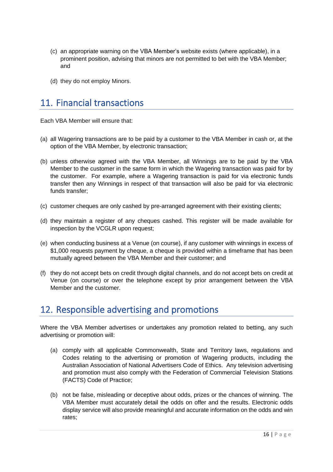- (c) an appropriate warning on the VBA Member's website exists (where applicable), in a prominent position, advising that minors are not permitted to bet with the VBA Member; and
- (d) they do not employ Minors.

# <span id="page-15-0"></span>11. Financial transactions

Each VBA Member will ensure that:

- (a) all Wagering transactions are to be paid by a customer to the VBA Member in cash or, at the option of the VBA Member, by electronic transaction;
- (b) unless otherwise agreed with the VBA Member, all Winnings are to be paid by the VBA Member to the customer in the same form in which the Wagering transaction was paid for by the customer. For example, where a Wagering transaction is paid for via electronic funds transfer then any Winnings in respect of that transaction will also be paid for via electronic funds transfer;
- (c) customer cheques are only cashed by pre-arranged agreement with their existing clients;
- (d) they maintain a register of any cheques cashed. This register will be made available for inspection by the VCGLR upon request;
- (e) when conducting business at a Venue (on course), if any customer with winnings in excess of \$1,000 requests payment by cheque, a cheque is provided within a timeframe that has been mutually agreed between the VBA Member and their customer; and
- (f) they do not accept bets on credit through digital channels, and do not accept bets on credit at Venue (on course) or over the telephone except by prior arrangement between the VBA Member and the customer.

# <span id="page-15-1"></span>12. Responsible advertising and promotions

Where the VBA Member advertises or undertakes any promotion related to betting, any such advertising or promotion will:

- (a) comply with all applicable Commonwealth, State and Territory laws, regulations and Codes relating to the advertising or promotion of Wagering products, including the Australian Association of National Advertisers Code of Ethics. Any television advertising and promotion must also comply with the Federation of Commercial Television Stations (FACTS) Code of Practice;
- (b) not be false, misleading or deceptive about odds, prizes or the chances of winning. The VBA Member must accurately detail the odds on offer and the results. Electronic odds display service will also provide meaningful and accurate information on the odds and win rates;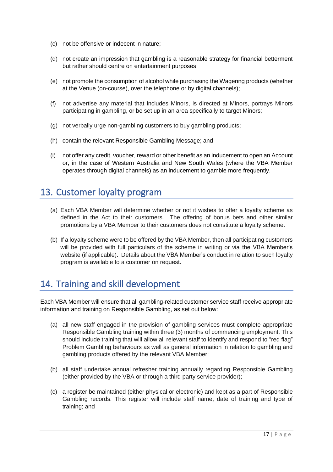- (c) not be offensive or indecent in nature;
- (d) not create an impression that gambling is a reasonable strategy for financial betterment but rather should centre on entertainment purposes;
- (e) not promote the consumption of alcohol while purchasing the Wagering products (whether at the Venue (on-course), over the telephone or by digital channels);
- (f) not advertise any material that includes Minors, is directed at Minors, portrays Minors participating in gambling, or be set up in an area specifically to target Minors;
- (g) not verbally urge non-gambling customers to buy gambling products;
- (h) contain the relevant Responsible Gambling Message; and
- (i) not offer any credit, voucher, reward or other benefit as an inducement to open an Account or, in the case of Western Australia and New South Wales (where the VBA Member operates through digital channels) as an inducement to gamble more frequently.

## <span id="page-16-0"></span>13. Customer loyalty program

- (a) Each VBA Member will determine whether or not it wishes to offer a loyalty scheme as defined in the Act to their customers. The offering of bonus bets and other similar promotions by a VBA Member to their customers does not constitute a loyalty scheme.
- (b) If a loyalty scheme were to be offered by the VBA Member, then all participating customers will be provided with full particulars of the scheme in writing or via the VBA Member's website (if applicable). Details about the VBA Member's conduct in relation to such loyalty program is available to a customer on request.

# <span id="page-16-1"></span>14. Training and skill development

Each VBA Member will ensure that all gambling-related customer service staff receive appropriate information and training on Responsible Gambling, as set out below:

- (a) all new staff engaged in the provision of gambling services must complete appropriate Responsible Gambling training within three (3) months of commencing employment. This should include training that will allow all relevant staff to identify and respond to "red flag" Problem Gambling behaviours as well as general information in relation to gambling and gambling products offered by the relevant VBA Member;
- (b) all staff undertake annual refresher training annually regarding Responsible Gambling (either provided by the VBA or through a third party service provider);
- (c) a register be maintained (either physical or electronic) and kept as a part of Responsible Gambling records. This register will include staff name, date of training and type of training; and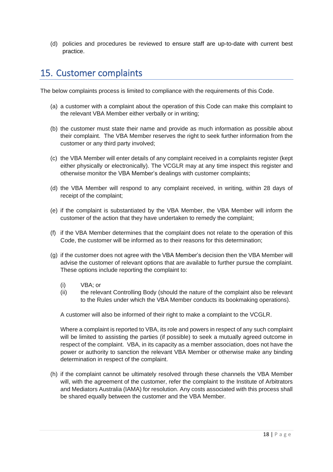(d) policies and procedures be reviewed to ensure staff are up-to-date with current best practice.

## <span id="page-17-0"></span>15. Customer complaints

The below complaints process is limited to compliance with the requirements of this Code.

- (a) a customer with a complaint about the operation of this Code can make this complaint to the relevant VBA Member either verbally or in writing;
- (b) the customer must state their name and provide as much information as possible about their complaint. The VBA Member reserves the right to seek further information from the customer or any third party involved;
- (c) the VBA Member will enter details of any complaint received in a complaints register (kept either physically or electronically). The VCGLR may at any time inspect this register and otherwise monitor the VBA Member's dealings with customer complaints;
- (d) the VBA Member will respond to any complaint received, in writing, within 28 days of receipt of the complaint;
- (e) if the complaint is substantiated by the VBA Member, the VBA Member will inform the customer of the action that they have undertaken to remedy the complaint;
- (f) if the VBA Member determines that the complaint does not relate to the operation of this Code, the customer will be informed as to their reasons for this determination;
- (g) if the customer does not agree with the VBA Member's decision then the VBA Member will advise the customer of relevant options that are available to further pursue the complaint. These options include reporting the complaint to:
	- (i) VBA; or
	- (ii) the relevant Controlling Body (should the nature of the complaint also be relevant to the Rules under which the VBA Member conducts its bookmaking operations).

A customer will also be informed of their right to make a complaint to the VCGLR.

Where a complaint is reported to VBA, its role and powers in respect of any such complaint will be limited to assisting the parties (if possible) to seek a mutually agreed outcome in respect of the complaint. VBA, in its capacity as a member association, does not have the power or authority to sanction the relevant VBA Member or otherwise make any binding determination in respect of the complaint.

(h) if the complaint cannot be ultimately resolved through these channels the VBA Member will, with the agreement of the customer, refer the complaint to the Institute of Arbitrators and Mediators Australia (IAMA) for resolution. Any costs associated with this process shall be shared equally between the customer and the VBA Member.